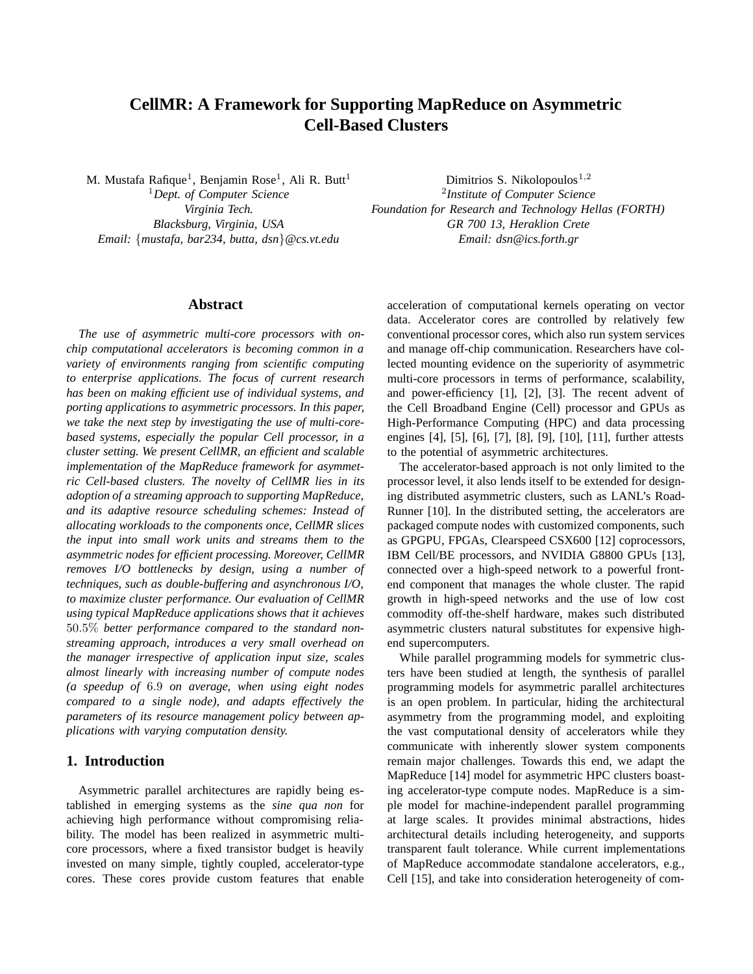# **CellMR: A Framework for Supporting MapReduce on Asymmetric Cell-Based Clusters**

M. Mustafa Rafique<sup>1</sup>, Benjamin Rose<sup>1</sup>, Ali R. Butt<sup>1</sup>

<sup>1</sup>*Dept. of Computer Science Virginia Tech. Blacksburg, Virginia, USA Email: {mustafa, bar234, butta, dsn}@cs.vt.edu*

#### **Abstract**

*The use of asymmetric multi-core processors with onchip computational accelerators is becoming common in a variety of environments ranging from scientific computing to enterprise applications. The focus of current research has been on making efficient use of individual systems, and porting applications to asymmetric processors. In this paper, we take the next step by investigating the use of multi-corebased systems, especially the popular Cell processor, in a cluster setting. We present CellMR, an efficient and scalable implementation of the MapReduce framework for asymmetric Cell-based clusters. The novelty of CellMR lies in its adoption of a streaming approach to supporting MapReduce, and its adaptive resource scheduling schemes: Instead of allocating workloads to the components once, CellMR slices the input into small work units and streams them to the asymmetric nodes for efficient processing. Moreover, CellMR removes I/O bottlenecks by design, using a number of techniques, such as double-buffering and asynchronous I/O, to maximize cluster performance. Our evaluation of CellMR using typical MapReduce applications shows that it achieves* 50*.*5% *better performance compared to the standard nonstreaming approach, introduces a very small overhead on the manager irrespective of application input size, scales almost linearly with increasing number of compute nodes (a speedup of* 6*.*9 *on average, when using eight nodes compared to a single node), and adapts effectively the parameters of its resource management policy between applications with varying computation density.*

### **1. Introduction**

Asymmetric parallel architectures are rapidly being established in emerging systems as the *sine qua non* for achieving high performance without compromising reliability. The model has been realized in asymmetric multicore processors, where a fixed transistor budget is heavily invested on many simple, tightly coupled, accelerator-type cores. These cores provide custom features that enable

Dimitrios S. Nikolopoulos<sup>1,2</sup> <sup>2</sup>*Institute of Computer Science Foundation for Research and Technology Hellas (FORTH) GR 700 13, Heraklion Crete Email: dsn@ics.forth.gr*

acceleration of computational kernels operating on vector data. Accelerator cores are controlled by relatively few conventional processor cores, which also run system services and manage off-chip communication. Researchers have collected mounting evidence on the superiority of asymmetric multi-core processors in terms of performance, scalability, and power-efficiency [1], [2], [3]. The recent advent of the Cell Broadband Engine (Cell) processor and GPUs as High-Performance Computing (HPC) and data processing engines [4], [5], [6], [7], [8], [9], [10], [11], further attests to the potential of asymmetric architectures.

The accelerator-based approach is not only limited to the processor level, it also lends itself to be extended for designing distributed asymmetric clusters, such as LANL's Road-Runner [10]. In the distributed setting, the accelerators are packaged compute nodes with customized components, such as GPGPU, FPGAs, Clearspeed CSX600 [12] coprocessors, IBM Cell/BE processors, and NVIDIA G8800 GPUs [13], connected over a high-speed network to a powerful frontend component that manages the whole cluster. The rapid growth in high-speed networks and the use of low cost commodity off-the-shelf hardware, makes such distributed asymmetric clusters natural substitutes for expensive highend supercomputers.

While parallel programming models for symmetric clusters have been studied at length, the synthesis of parallel programming models for asymmetric parallel architectures is an open problem. In particular, hiding the architectural asymmetry from the programming model, and exploiting the vast computational density of accelerators while they communicate with inherently slower system components remain major challenges. Towards this end, we adapt the MapReduce [14] model for asymmetric HPC clusters boasting accelerator-type compute nodes. MapReduce is a simple model for machine-independent parallel programming at large scales. It provides minimal abstractions, hides architectural details including heterogeneity, and supports transparent fault tolerance. While current implementations of MapReduce accommodate standalone accelerators, e.g., Cell [15], and take into consideration heterogeneity of com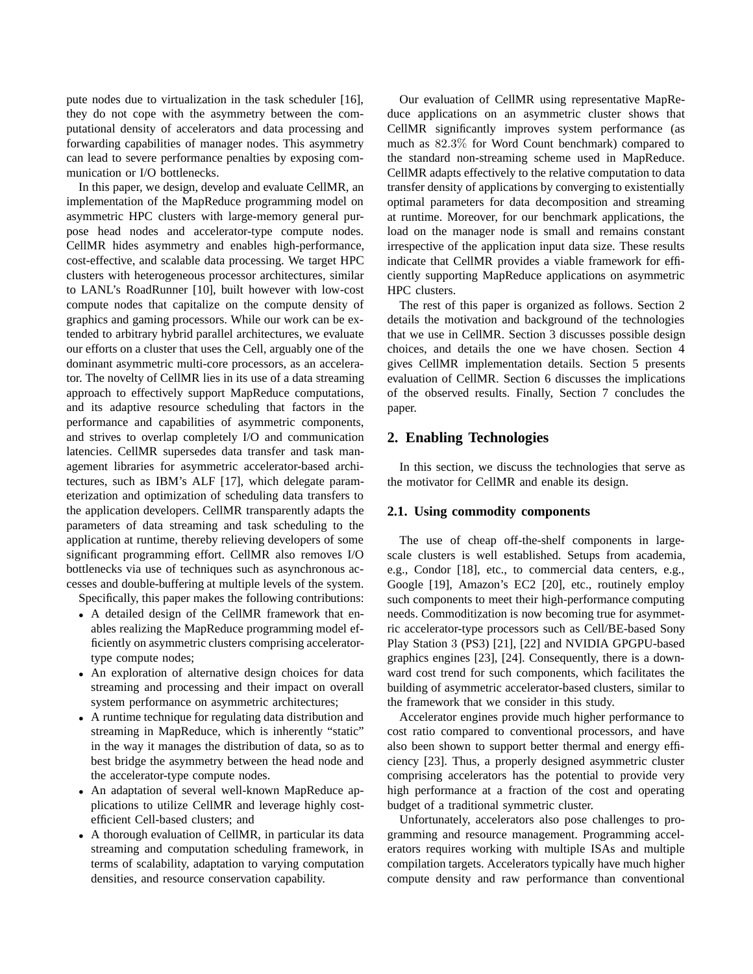pute nodes due to virtualization in the task scheduler [16], they do not cope with the asymmetry between the computational density of accelerators and data processing and forwarding capabilities of manager nodes. This asymmetry can lead to severe performance penalties by exposing communication or I/O bottlenecks.

In this paper, we design, develop and evaluate CellMR, an implementation of the MapReduce programming model on asymmetric HPC clusters with large-memory general purpose head nodes and accelerator-type compute nodes. CellMR hides asymmetry and enables high-performance, cost-effective, and scalable data processing. We target HPC clusters with heterogeneous processor architectures, similar to LANL's RoadRunner [10], built however with low-cost compute nodes that capitalize on the compute density of graphics and gaming processors. While our work can be extended to arbitrary hybrid parallel architectures, we evaluate our efforts on a cluster that uses the Cell, arguably one of the dominant asymmetric multi-core processors, as an accelerator. The novelty of CellMR lies in its use of a data streaming approach to effectively support MapReduce computations, and its adaptive resource scheduling that factors in the performance and capabilities of asymmetric components, and strives to overlap completely I/O and communication latencies. CellMR supersedes data transfer and task management libraries for asymmetric accelerator-based architectures, such as IBM's ALF [17], which delegate parameterization and optimization of scheduling data transfers to the application developers. CellMR transparently adapts the parameters of data streaming and task scheduling to the application at runtime, thereby relieving developers of some significant programming effort. CellMR also removes I/O bottlenecks via use of techniques such as asynchronous accesses and double-buffering at multiple levels of the system. Specifically, this paper makes the following contributions:

*•* A detailed design of the CellMR framework that enables realizing the MapReduce programming model efficiently on asymmetric clusters comprising acceleratortype compute nodes;

- *•* An exploration of alternative design choices for data streaming and processing and their impact on overall system performance on asymmetric architectures;
- *•* A runtime technique for regulating data distribution and streaming in MapReduce, which is inherently "static" in the way it manages the distribution of data, so as to best bridge the asymmetry between the head node and the accelerator-type compute nodes.
- *•* An adaptation of several well-known MapReduce applications to utilize CellMR and leverage highly costefficient Cell-based clusters; and
- *•* A thorough evaluation of CellMR, in particular its data streaming and computation scheduling framework, in terms of scalability, adaptation to varying computation densities, and resource conservation capability.

Our evaluation of CellMR using representative MapReduce applications on an asymmetric cluster shows that CellMR significantly improves system performance (as much as 82*.*3% for Word Count benchmark) compared to the standard non-streaming scheme used in MapReduce. CellMR adapts effectively to the relative computation to data transfer density of applications by converging to existentially optimal parameters for data decomposition and streaming at runtime. Moreover, for our benchmark applications, the load on the manager node is small and remains constant irrespective of the application input data size. These results indicate that CellMR provides a viable framework for efficiently supporting MapReduce applications on asymmetric HPC clusters.

The rest of this paper is organized as follows. Section 2 details the motivation and background of the technologies that we use in CellMR. Section 3 discusses possible design choices, and details the one we have chosen. Section 4 gives CellMR implementation details. Section 5 presents evaluation of CellMR. Section 6 discusses the implications of the observed results. Finally, Section 7 concludes the paper.

### **2. Enabling Technologies**

In this section, we discuss the technologies that serve as the motivator for CellMR and enable its design.

#### **2.1. Using commodity components**

The use of cheap off-the-shelf components in largescale clusters is well established. Setups from academia, e.g., Condor [18], etc., to commercial data centers, e.g., Google [19], Amazon's EC2 [20], etc., routinely employ such components to meet their high-performance computing needs. Commoditization is now becoming true for asymmetric accelerator-type processors such as Cell/BE-based Sony Play Station 3 (PS3) [21], [22] and NVIDIA GPGPU-based graphics engines [23], [24]. Consequently, there is a downward cost trend for such components, which facilitates the building of asymmetric accelerator-based clusters, similar to the framework that we consider in this study.

Accelerator engines provide much higher performance to cost ratio compared to conventional processors, and have also been shown to support better thermal and energy efficiency [23]. Thus, a properly designed asymmetric cluster comprising accelerators has the potential to provide very high performance at a fraction of the cost and operating budget of a traditional symmetric cluster.

Unfortunately, accelerators also pose challenges to programming and resource management. Programming accelerators requires working with multiple ISAs and multiple compilation targets. Accelerators typically have much higher compute density and raw performance than conventional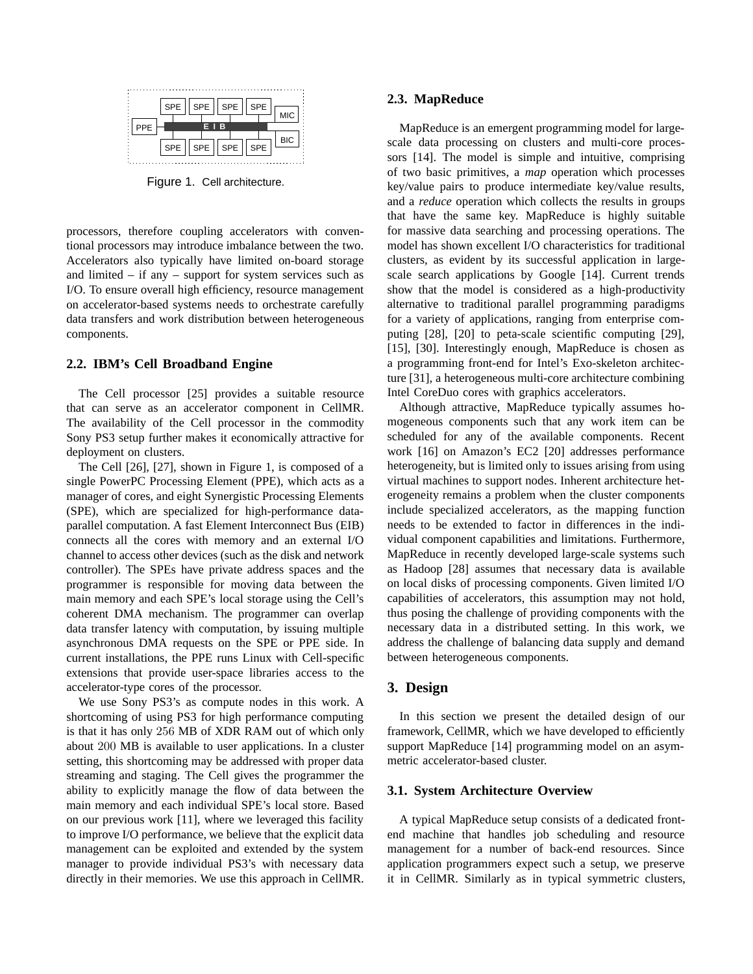

Figure 1. Cell architecture.

processors, therefore coupling accelerators with conventional processors may introduce imbalance between the two. Accelerators also typically have limited on-board storage and limited  $-$  if any  $-$  support for system services such as I/O. To ensure overall high efficiency, resource management on accelerator-based systems needs to orchestrate carefully data transfers and work distribution between heterogeneous components.

### **2.2. IBM's Cell Broadband Engine**

The Cell processor [25] provides a suitable resource that can serve as an accelerator component in CellMR. The availability of the Cell processor in the commodity Sony PS3 setup further makes it economically attractive for deployment on clusters.

The Cell [26], [27], shown in Figure 1, is composed of a single PowerPC Processing Element (PPE), which acts as a manager of cores, and eight Synergistic Processing Elements (SPE), which are specialized for high-performance dataparallel computation. A fast Element Interconnect Bus (EIB) connects all the cores with memory and an external I/O channel to access other devices (such as the disk and network controller). The SPEs have private address spaces and the programmer is responsible for moving data between the main memory and each SPE's local storage using the Cell's coherent DMA mechanism. The programmer can overlap data transfer latency with computation, by issuing multiple asynchronous DMA requests on the SPE or PPE side. In current installations, the PPE runs Linux with Cell-specific extensions that provide user-space libraries access to the accelerator-type cores of the processor.

We use Sony PS3's as compute nodes in this work. A shortcoming of using PS3 for high performance computing is that it has only 256 MB of XDR RAM out of which only about 200 MB is available to user applications. In a cluster setting, this shortcoming may be addressed with proper data streaming and staging. The Cell gives the programmer the ability to explicitly manage the flow of data between the main memory and each individual SPE's local store. Based on our previous work [11], where we leveraged this facility to improve I/O performance, we believe that the explicit data management can be exploited and extended by the system manager to provide individual PS3's with necessary data directly in their memories. We use this approach in CellMR.

#### **2.3. MapReduce**

MapReduce is an emergent programming model for largescale data processing on clusters and multi-core processors [14]. The model is simple and intuitive, comprising of two basic primitives, a *map* operation which processes key/value pairs to produce intermediate key/value results, and a *reduce* operation which collects the results in groups that have the same key. MapReduce is highly suitable for massive data searching and processing operations. The model has shown excellent I/O characteristics for traditional clusters, as evident by its successful application in largescale search applications by Google [14]. Current trends show that the model is considered as a high-productivity alternative to traditional parallel programming paradigms for a variety of applications, ranging from enterprise computing [28], [20] to peta-scale scientific computing [29], [15], [30]. Interestingly enough, MapReduce is chosen as a programming front-end for Intel's Exo-skeleton architecture [31], a heterogeneous multi-core architecture combining Intel CoreDuo cores with graphics accelerators.

Although attractive, MapReduce typically assumes homogeneous components such that any work item can be scheduled for any of the available components. Recent work [16] on Amazon's EC2 [20] addresses performance heterogeneity, but is limited only to issues arising from using virtual machines to support nodes. Inherent architecture heterogeneity remains a problem when the cluster components include specialized accelerators, as the mapping function needs to be extended to factor in differences in the individual component capabilities and limitations. Furthermore, MapReduce in recently developed large-scale systems such as Hadoop [28] assumes that necessary data is available on local disks of processing components. Given limited I/O capabilities of accelerators, this assumption may not hold, thus posing the challenge of providing components with the necessary data in a distributed setting. In this work, we address the challenge of balancing data supply and demand between heterogeneous components.

### **3. Design**

In this section we present the detailed design of our framework, CellMR, which we have developed to efficiently support MapReduce [14] programming model on an asymmetric accelerator-based cluster.

#### **3.1. System Architecture Overview**

A typical MapReduce setup consists of a dedicated frontend machine that handles job scheduling and resource management for a number of back-end resources. Since application programmers expect such a setup, we preserve it in CellMR. Similarly as in typical symmetric clusters,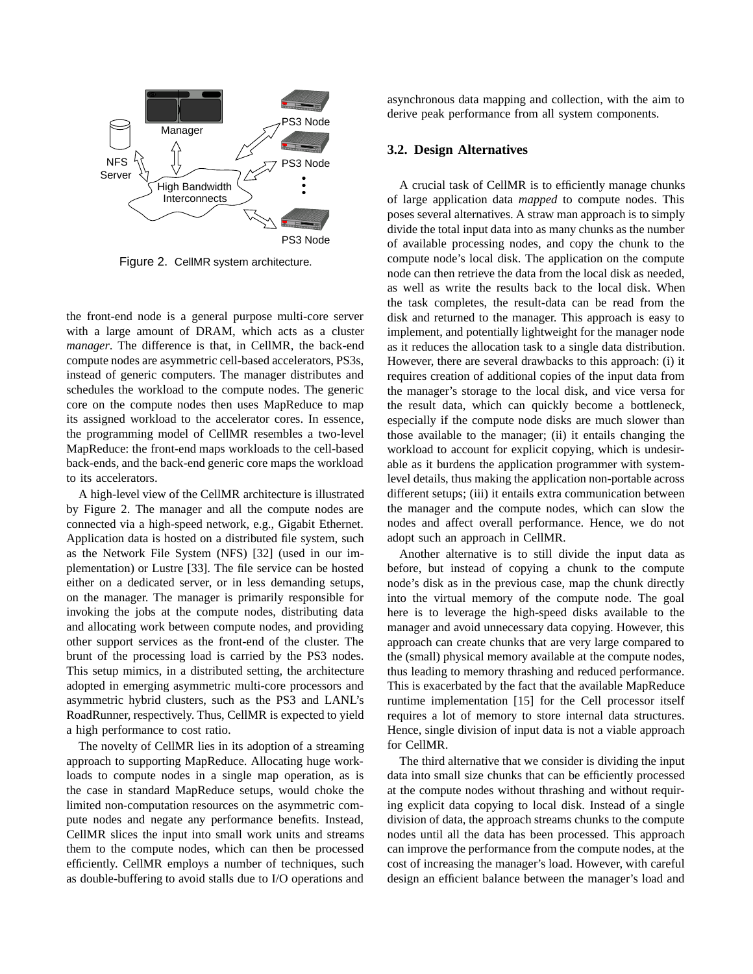

Figure 2. CellMR system architecture.

the front-end node is a general purpose multi-core server with a large amount of DRAM, which acts as a cluster *manager*. The difference is that, in CellMR, the back-end compute nodes are asymmetric cell-based accelerators, PS3s, instead of generic computers. The manager distributes and schedules the workload to the compute nodes. The generic core on the compute nodes then uses MapReduce to map its assigned workload to the accelerator cores. In essence, the programming model of CellMR resembles a two-level MapReduce: the front-end maps workloads to the cell-based back-ends, and the back-end generic core maps the workload to its accelerators.

A high-level view of the CellMR architecture is illustrated by Figure 2. The manager and all the compute nodes are connected via a high-speed network, e.g., Gigabit Ethernet. Application data is hosted on a distributed file system, such as the Network File System (NFS) [32] (used in our implementation) or Lustre [33]. The file service can be hosted either on a dedicated server, or in less demanding setups, on the manager. The manager is primarily responsible for invoking the jobs at the compute nodes, distributing data and allocating work between compute nodes, and providing other support services as the front-end of the cluster. The brunt of the processing load is carried by the PS3 nodes. This setup mimics, in a distributed setting, the architecture adopted in emerging asymmetric multi-core processors and asymmetric hybrid clusters, such as the PS3 and LANL's RoadRunner, respectively. Thus, CellMR is expected to yield a high performance to cost ratio.

The novelty of CellMR lies in its adoption of a streaming approach to supporting MapReduce. Allocating huge workloads to compute nodes in a single map operation, as is the case in standard MapReduce setups, would choke the limited non-computation resources on the asymmetric compute nodes and negate any performance benefits. Instead, CellMR slices the input into small work units and streams them to the compute nodes, which can then be processed efficiently. CellMR employs a number of techniques, such as double-buffering to avoid stalls due to I/O operations and

asynchronous data mapping and collection, with the aim to derive peak performance from all system components.

### **3.2. Design Alternatives**

A crucial task of CellMR is to efficiently manage chunks of large application data *mapped* to compute nodes. This poses several alternatives. A straw man approach is to simply divide the total input data into as many chunks as the number of available processing nodes, and copy the chunk to the compute node's local disk. The application on the compute node can then retrieve the data from the local disk as needed, as well as write the results back to the local disk. When the task completes, the result-data can be read from the disk and returned to the manager. This approach is easy to implement, and potentially lightweight for the manager node as it reduces the allocation task to a single data distribution. However, there are several drawbacks to this approach: (i) it requires creation of additional copies of the input data from the manager's storage to the local disk, and vice versa for the result data, which can quickly become a bottleneck, especially if the compute node disks are much slower than those available to the manager; (ii) it entails changing the workload to account for explicit copying, which is undesirable as it burdens the application programmer with systemlevel details, thus making the application non-portable across different setups; (iii) it entails extra communication between the manager and the compute nodes, which can slow the nodes and affect overall performance. Hence, we do not adopt such an approach in CellMR.

Another alternative is to still divide the input data as before, but instead of copying a chunk to the compute node's disk as in the previous case, map the chunk directly into the virtual memory of the compute node. The goal here is to leverage the high-speed disks available to the manager and avoid unnecessary data copying. However, this approach can create chunks that are very large compared to the (small) physical memory available at the compute nodes, thus leading to memory thrashing and reduced performance. This is exacerbated by the fact that the available MapReduce runtime implementation [15] for the Cell processor itself requires a lot of memory to store internal data structures. Hence, single division of input data is not a viable approach for CellMR.

The third alternative that we consider is dividing the input data into small size chunks that can be efficiently processed at the compute nodes without thrashing and without requiring explicit data copying to local disk. Instead of a single division of data, the approach streams chunks to the compute nodes until all the data has been processed. This approach can improve the performance from the compute nodes, at the cost of increasing the manager's load. However, with careful design an efficient balance between the manager's load and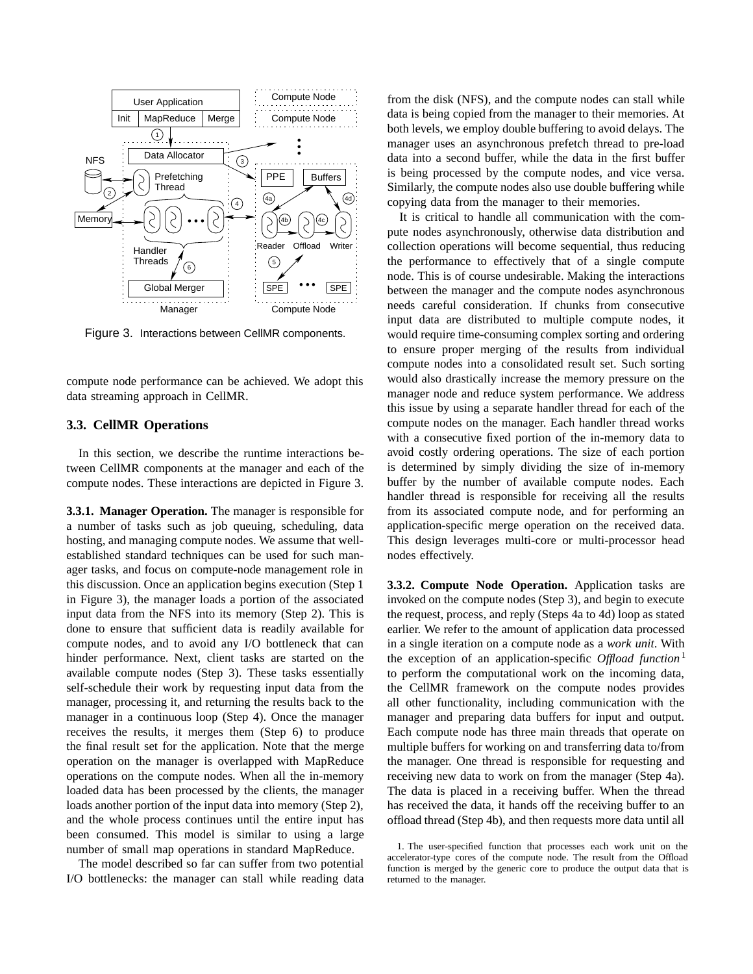

Figure 3. Interactions between CellMR components.

compute node performance can be achieved. We adopt this data streaming approach in CellMR.

### **3.3. CellMR Operations**

In this section, we describe the runtime interactions between CellMR components at the manager and each of the compute nodes. These interactions are depicted in Figure 3.

**3.3.1. Manager Operation.** The manager is responsible for a number of tasks such as job queuing, scheduling, data hosting, and managing compute nodes. We assume that wellestablished standard techniques can be used for such manager tasks, and focus on compute-node management role in this discussion. Once an application begins execution (Step 1 in Figure 3), the manager loads a portion of the associated input data from the NFS into its memory (Step 2). This is done to ensure that sufficient data is readily available for compute nodes, and to avoid any I/O bottleneck that can hinder performance. Next, client tasks are started on the available compute nodes (Step 3). These tasks essentially self-schedule their work by requesting input data from the manager, processing it, and returning the results back to the manager in a continuous loop (Step 4). Once the manager receives the results, it merges them (Step 6) to produce the final result set for the application. Note that the merge operation on the manager is overlapped with MapReduce operations on the compute nodes. When all the in-memory loaded data has been processed by the clients, the manager loads another portion of the input data into memory (Step 2), and the whole process continues until the entire input has been consumed. This model is similar to using a large number of small map operations in standard MapReduce.

The model described so far can suffer from two potential I/O bottlenecks: the manager can stall while reading data from the disk (NFS), and the compute nodes can stall while data is being copied from the manager to their memories. At both levels, we employ double buffering to avoid delays. The manager uses an asynchronous prefetch thread to pre-load data into a second buffer, while the data in the first buffer is being processed by the compute nodes, and vice versa. Similarly, the compute nodes also use double buffering while copying data from the manager to their memories.

It is critical to handle all communication with the compute nodes asynchronously, otherwise data distribution and collection operations will become sequential, thus reducing the performance to effectively that of a single compute node. This is of course undesirable. Making the interactions between the manager and the compute nodes asynchronous needs careful consideration. If chunks from consecutive input data are distributed to multiple compute nodes, it would require time-consuming complex sorting and ordering to ensure proper merging of the results from individual compute nodes into a consolidated result set. Such sorting would also drastically increase the memory pressure on the manager node and reduce system performance. We address this issue by using a separate handler thread for each of the compute nodes on the manager. Each handler thread works with a consecutive fixed portion of the in-memory data to avoid costly ordering operations. The size of each portion is determined by simply dividing the size of in-memory buffer by the number of available compute nodes. Each handler thread is responsible for receiving all the results from its associated compute node, and for performing an application-specific merge operation on the received data. This design leverages multi-core or multi-processor head nodes effectively.

**3.3.2. Compute Node Operation.** Application tasks are invoked on the compute nodes (Step 3), and begin to execute the request, process, and reply (Steps 4a to 4d) loop as stated earlier. We refer to the amount of application data processed in a single iteration on a compute node as a *work unit*. With the exception of an application-specific *Offload function* <sup>1</sup> to perform the computational work on the incoming data, the CellMR framework on the compute nodes provides all other functionality, including communication with the manager and preparing data buffers for input and output. Each compute node has three main threads that operate on multiple buffers for working on and transferring data to/from the manager. One thread is responsible for requesting and receiving new data to work on from the manager (Step 4a). The data is placed in a receiving buffer. When the thread has received the data, it hands off the receiving buffer to an offload thread (Step 4b), and then requests more data until all

<sup>1.</sup> The user-specified function that processes each work unit on the accelerator-type cores of the compute node. The result from the Offload function is merged by the generic core to produce the output data that is returned to the manager.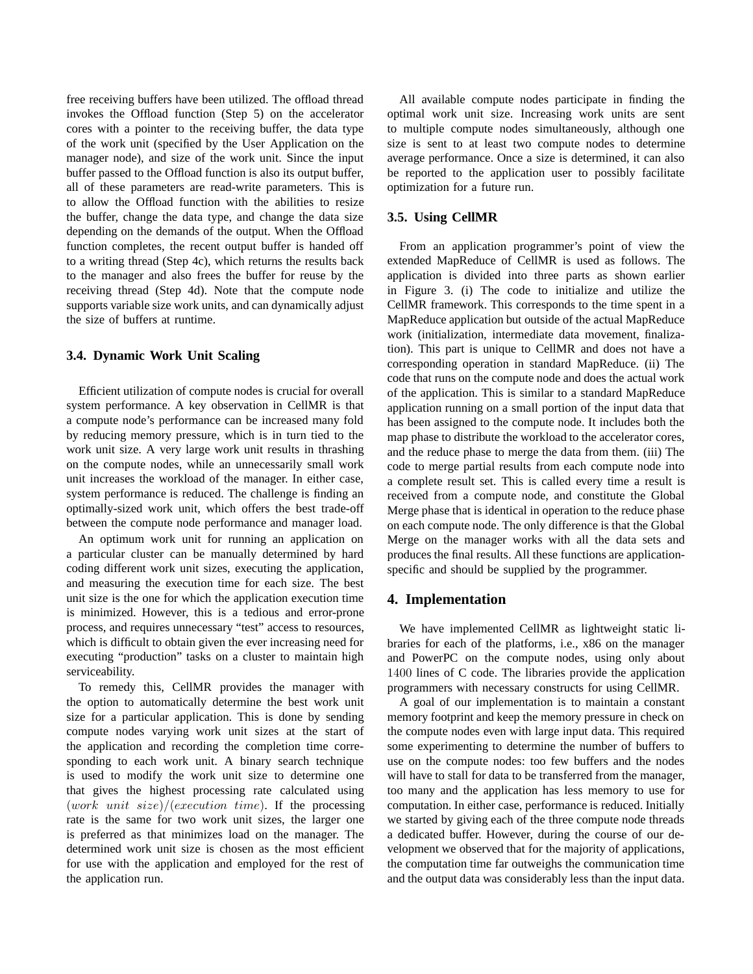free receiving buffers have been utilized. The offload thread invokes the Offload function (Step 5) on the accelerator cores with a pointer to the receiving buffer, the data type of the work unit (specified by the User Application on the manager node), and size of the work unit. Since the input buffer passed to the Offload function is also its output buffer, all of these parameters are read-write parameters. This is to allow the Offload function with the abilities to resize the buffer, change the data type, and change the data size depending on the demands of the output. When the Offload function completes, the recent output buffer is handed off to a writing thread (Step 4c), which returns the results back to the manager and also frees the buffer for reuse by the receiving thread (Step 4d). Note that the compute node supports variable size work units, and can dynamically adjust the size of buffers at runtime.

#### **3.4. Dynamic Work Unit Scaling**

Efficient utilization of compute nodes is crucial for overall system performance. A key observation in CellMR is that a compute node's performance can be increased many fold by reducing memory pressure, which is in turn tied to the work unit size. A very large work unit results in thrashing on the compute nodes, while an unnecessarily small work unit increases the workload of the manager. In either case, system performance is reduced. The challenge is finding an optimally-sized work unit, which offers the best trade-off between the compute node performance and manager load.

An optimum work unit for running an application on a particular cluster can be manually determined by hard coding different work unit sizes, executing the application, and measuring the execution time for each size. The best unit size is the one for which the application execution time is minimized. However, this is a tedious and error-prone process, and requires unnecessary "test" access to resources, which is difficult to obtain given the ever increasing need for executing "production" tasks on a cluster to maintain high serviceability.

To remedy this, CellMR provides the manager with the option to automatically determine the best work unit size for a particular application. This is done by sending compute nodes varying work unit sizes at the start of the application and recording the completion time corresponding to each work unit. A binary search technique is used to modify the work unit size to determine one that gives the highest processing rate calculated using (*work unit size*)*/*(*execution time*). If the processing rate is the same for two work unit sizes, the larger one is preferred as that minimizes load on the manager. The determined work unit size is chosen as the most efficient for use with the application and employed for the rest of the application run.

All available compute nodes participate in finding the optimal work unit size. Increasing work units are sent to multiple compute nodes simultaneously, although one size is sent to at least two compute nodes to determine average performance. Once a size is determined, it can also be reported to the application user to possibly facilitate optimization for a future run.

### **3.5. Using CellMR**

From an application programmer's point of view the extended MapReduce of CellMR is used as follows. The application is divided into three parts as shown earlier in Figure 3. (i) The code to initialize and utilize the CellMR framework. This corresponds to the time spent in a MapReduce application but outside of the actual MapReduce work (initialization, intermediate data movement, finalization). This part is unique to CellMR and does not have a corresponding operation in standard MapReduce. (ii) The code that runs on the compute node and does the actual work of the application. This is similar to a standard MapReduce application running on a small portion of the input data that has been assigned to the compute node. It includes both the map phase to distribute the workload to the accelerator cores, and the reduce phase to merge the data from them. (iii) The code to merge partial results from each compute node into a complete result set. This is called every time a result is received from a compute node, and constitute the Global Merge phase that is identical in operation to the reduce phase on each compute node. The only difference is that the Global Merge on the manager works with all the data sets and produces the final results. All these functions are applicationspecific and should be supplied by the programmer.

#### **4. Implementation**

We have implemented CellMR as lightweight static libraries for each of the platforms, i.e., x86 on the manager and PowerPC on the compute nodes, using only about 1400 lines of C code. The libraries provide the application programmers with necessary constructs for using CellMR.

A goal of our implementation is to maintain a constant memory footprint and keep the memory pressure in check on the compute nodes even with large input data. This required some experimenting to determine the number of buffers to use on the compute nodes: too few buffers and the nodes will have to stall for data to be transferred from the manager, too many and the application has less memory to use for computation. In either case, performance is reduced. Initially we started by giving each of the three compute node threads a dedicated buffer. However, during the course of our development we observed that for the majority of applications, the computation time far outweighs the communication time and the output data was considerably less than the input data.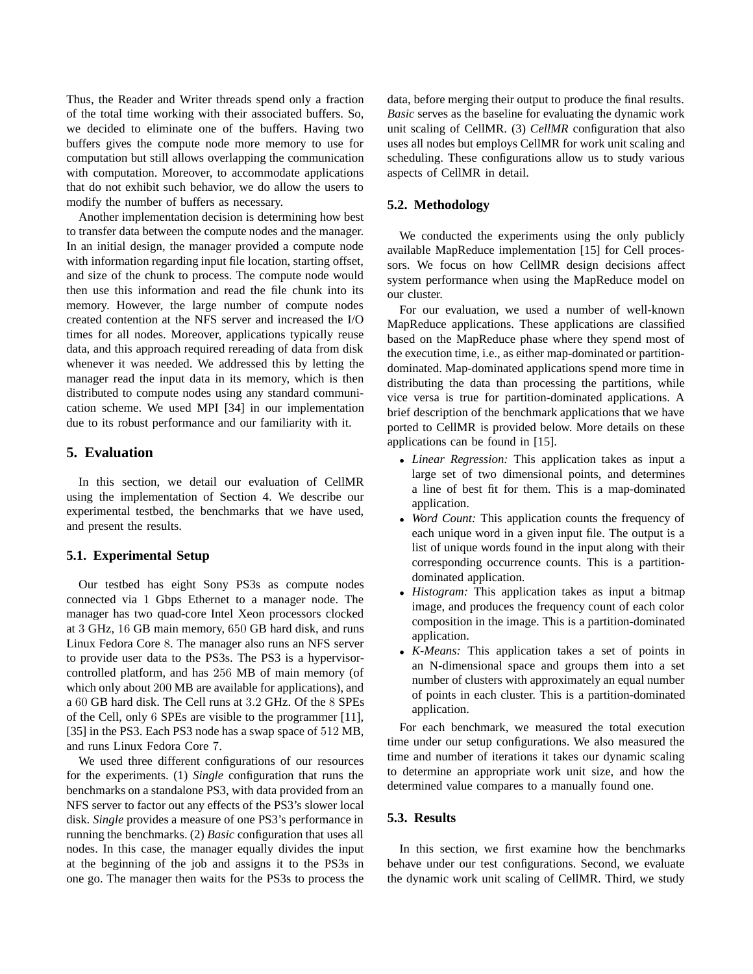Thus, the Reader and Writer threads spend only a fraction of the total time working with their associated buffers. So, we decided to eliminate one of the buffers. Having two buffers gives the compute node more memory to use for computation but still allows overlapping the communication with computation. Moreover, to accommodate applications that do not exhibit such behavior, we do allow the users to modify the number of buffers as necessary.

Another implementation decision is determining how best to transfer data between the compute nodes and the manager. In an initial design, the manager provided a compute node with information regarding input file location, starting offset, and size of the chunk to process. The compute node would then use this information and read the file chunk into its memory. However, the large number of compute nodes created contention at the NFS server and increased the I/O times for all nodes. Moreover, applications typically reuse data, and this approach required rereading of data from disk whenever it was needed. We addressed this by letting the manager read the input data in its memory, which is then distributed to compute nodes using any standard communication scheme. We used MPI [34] in our implementation due to its robust performance and our familiarity with it.

# **5. Evaluation**

In this section, we detail our evaluation of CellMR using the implementation of Section 4. We describe our experimental testbed, the benchmarks that we have used, and present the results.

### **5.1. Experimental Setup**

Our testbed has eight Sony PS3s as compute nodes connected via 1 Gbps Ethernet to a manager node. The manager has two quad-core Intel Xeon processors clocked at 3 GHz, 16 GB main memory, 650 GB hard disk, and runs Linux Fedora Core 8. The manager also runs an NFS server to provide user data to the PS3s. The PS3 is a hypervisorcontrolled platform, and has 256 MB of main memory (of which only about 200 MB are available for applications), and a 60 GB hard disk. The Cell runs at 3*.*2 GHz. Of the 8 SPEs of the Cell, only 6 SPEs are visible to the programmer [11], [35] in the PS3. Each PS3 node has a swap space of  $512 \text{ MB}$ , and runs Linux Fedora Core 7.

We used three different configurations of our resources for the experiments. (1) *Single* configuration that runs the benchmarks on a standalone PS3, with data provided from an NFS server to factor out any effects of the PS3's slower local disk. *Single* provides a measure of one PS3's performance in running the benchmarks. (2) *Basic* configuration that uses all nodes. In this case, the manager equally divides the input at the beginning of the job and assigns it to the PS3s in one go. The manager then waits for the PS3s to process the

data, before merging their output to produce the final results. *Basic* serves as the baseline for evaluating the dynamic work unit scaling of CellMR. (3) *CellMR* configuration that also uses all nodes but employs CellMR for work unit scaling and scheduling. These configurations allow us to study various aspects of CellMR in detail.

#### **5.2. Methodology**

We conducted the experiments using the only publicly available MapReduce implementation [15] for Cell processors. We focus on how CellMR design decisions affect system performance when using the MapReduce model on our cluster.

For our evaluation, we used a number of well-known MapReduce applications. These applications are classified based on the MapReduce phase where they spend most of the execution time, i.e., as either map-dominated or partitiondominated. Map-dominated applications spend more time in distributing the data than processing the partitions, while vice versa is true for partition-dominated applications. A brief description of the benchmark applications that we have ported to CellMR is provided below. More details on these applications can be found in [15].

- *• Linear Regression:* This application takes as input a large set of two dimensional points, and determines a line of best fit for them. This is a map-dominated application.
- *• Word Count:* This application counts the frequency of each unique word in a given input file. The output is a list of unique words found in the input along with their corresponding occurrence counts. This is a partitiondominated application.
- *• Histogram:* This application takes as input a bitmap image, and produces the frequency count of each color composition in the image. This is a partition-dominated application.
- *• K-Means:* This application takes a set of points in an N-dimensional space and groups them into a set number of clusters with approximately an equal number of points in each cluster. This is a partition-dominated application.

For each benchmark, we measured the total execution time under our setup configurations. We also measured the time and number of iterations it takes our dynamic scaling to determine an appropriate work unit size, and how the determined value compares to a manually found one.

### **5.3. Results**

In this section, we first examine how the benchmarks behave under our test configurations. Second, we evaluate the dynamic work unit scaling of CellMR. Third, we study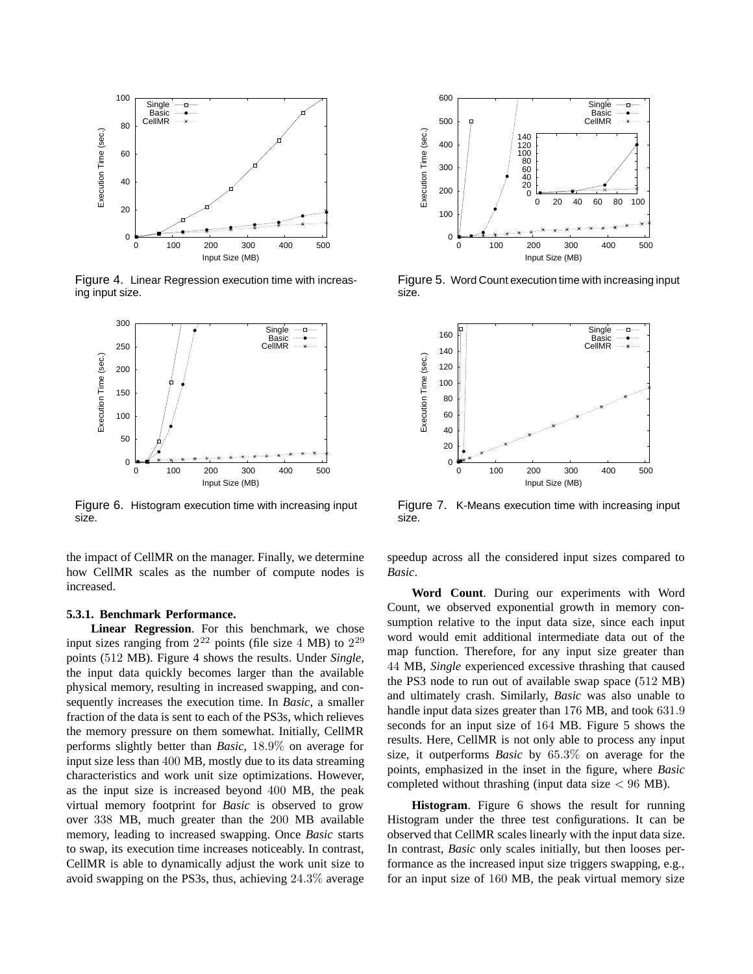

Figure 4. Linear Regression execution time with increasing input size.



Figure 6. Histogram execution time with increasing input size.

the impact of CellMR on the manager. Finally, we determine how CellMR scales as the number of compute nodes is increased.

#### **5.3.1. Benchmark Performance.**

**Linear Regression**. For this benchmark, we chose input sizes ranging from  $2^{22}$  points (file size 4 MB) to  $2^{29}$ points (512 MB). Figure 4 shows the results. Under *Single*, the input data quickly becomes larger than the available physical memory, resulting in increased swapping, and consequently increases the execution time. In *Basic*, a smaller fraction of the data is sent to each of the PS3s, which relieves the memory pressure on them somewhat. Initially, CellMR performs slightly better than *Basic*, 18*.*9% on average for input size less than 400 MB, mostly due to its data streaming characteristics and work unit size optimizations. However, as the input size is increased beyond 400 MB, the peak virtual memory footprint for *Basic* is observed to grow over 338 MB, much greater than the 200 MB available memory, leading to increased swapping. Once *Basic* starts to swap, its execution time increases noticeably. In contrast, CellMR is able to dynamically adjust the work unit size to avoid swapping on the PS3s, thus, achieving 24*.*3% average



Figure 5. Word Count execution time with increasing input size.



Figure 7. K-Means execution time with increasing input size.

speedup across all the considered input sizes compared to *Basic*.

**Word Count**. During our experiments with Word Count, we observed exponential growth in memory consumption relative to the input data size, since each input word would emit additional intermediate data out of the map function. Therefore, for any input size greater than 44 MB, *Single* experienced excessive thrashing that caused the PS3 node to run out of available swap space (512 MB) and ultimately crash. Similarly, *Basic* was also unable to handle input data sizes greater than 176 MB, and took 631*.*9 seconds for an input size of 164 MB. Figure 5 shows the results. Here, CellMR is not only able to process any input size, it outperforms *Basic* by 65*.*3% on average for the points, emphasized in the inset in the figure, where *Basic* completed without thrashing (input data size *<* 96 MB).

**Histogram**. Figure 6 shows the result for running Histogram under the three test configurations. It can be observed that CellMR scales linearly with the input data size. In contrast, *Basic* only scales initially, but then looses performance as the increased input size triggers swapping, e.g., for an input size of 160 MB, the peak virtual memory size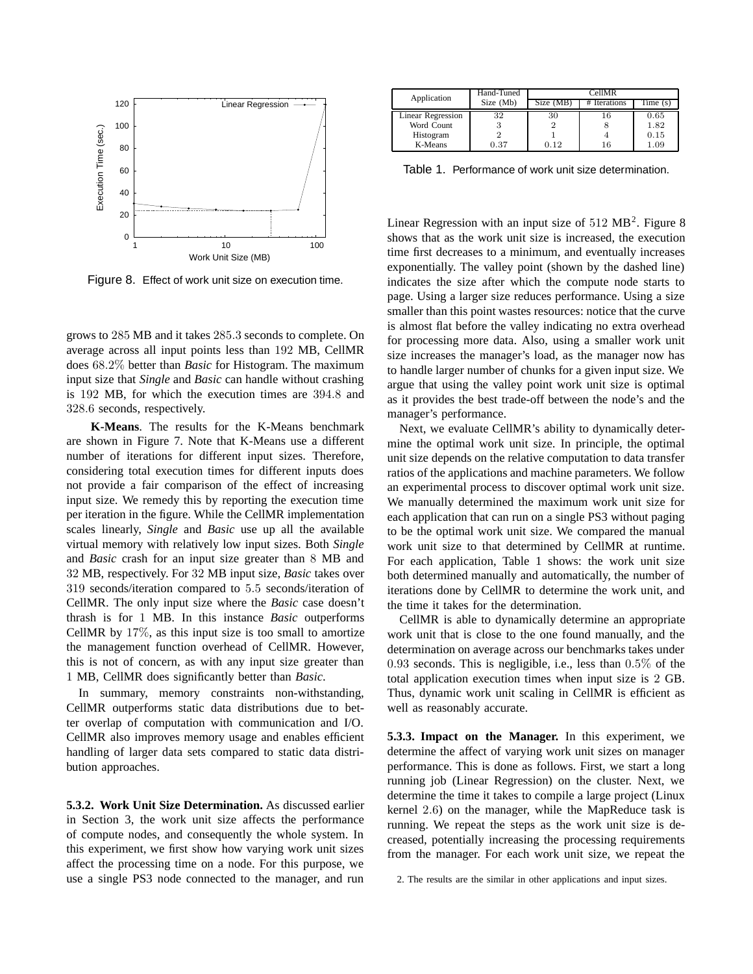

Figure 8. Effect of work unit size on execution time.

grows to 285 MB and it takes 285*.*3 seconds to complete. On average across all input points less than 192 MB, CellMR does 68*.*2% better than *Basic* for Histogram. The maximum input size that *Single* and *Basic* can handle without crashing is 192 MB, for which the execution times are 394*.*8 and 328*.*6 seconds, respectively.

**K-Means**. The results for the K-Means benchmark are shown in Figure 7. Note that K-Means use a different number of iterations for different input sizes. Therefore, considering total execution times for different inputs does not provide a fair comparison of the effect of increasing input size. We remedy this by reporting the execution time per iteration in the figure. While the CellMR implementation scales linearly, *Single* and *Basic* use up all the available virtual memory with relatively low input sizes. Both *Single* and *Basic* crash for an input size greater than 8 MB and 32 MB, respectively. For 32 MB input size, *Basic* takes over 319 seconds/iteration compared to 5*.*5 seconds/iteration of CellMR. The only input size where the *Basic* case doesn't thrash is for 1 MB. In this instance *Basic* outperforms CellMR by 17%, as this input size is too small to amortize the management function overhead of CellMR. However, this is not of concern, as with any input size greater than 1 MB, CellMR does significantly better than *Basic*.

In summary, memory constraints non-withstanding, CellMR outperforms static data distributions due to better overlap of computation with communication and I/O. CellMR also improves memory usage and enables efficient handling of larger data sets compared to static data distribution approaches.

**5.3.2. Work Unit Size Determination.** As discussed earlier in Section 3, the work unit size affects the performance of compute nodes, and consequently the whole system. In this experiment, we first show how varying work unit sizes affect the processing time on a node. For this purpose, we use a single PS3 node connected to the manager, and run

| Application       | Hand-Tuned | CellMR    |              |            |
|-------------------|------------|-----------|--------------|------------|
|                   | Size (Mb)  | Size (MB) | # Iterations | Time $(s)$ |
| Linear Regression | 32         | 30        | 16           | 0.65       |
| Word Count        |            |           |              | 1.82       |
| Histogram         |            |           |              | 0.15       |
| K-Means           | 0.37       | 0.12      | 16           | 1.09       |

Table 1. Performance of work unit size determination.

Linear Regression with an input size of  $512 \text{ MB}^2$ . Figure 8 shows that as the work unit size is increased, the execution time first decreases to a minimum, and eventually increases exponentially. The valley point (shown by the dashed line) indicates the size after which the compute node starts to page. Using a larger size reduces performance. Using a size smaller than this point wastes resources: notice that the curve is almost flat before the valley indicating no extra overhead for processing more data. Also, using a smaller work unit size increases the manager's load, as the manager now has to handle larger number of chunks for a given input size. We argue that using the valley point work unit size is optimal as it provides the best trade-off between the node's and the manager's performance.

Next, we evaluate CellMR's ability to dynamically determine the optimal work unit size. In principle, the optimal unit size depends on the relative computation to data transfer ratios of the applications and machine parameters. We follow an experimental process to discover optimal work unit size. We manually determined the maximum work unit size for each application that can run on a single PS3 without paging to be the optimal work unit size. We compared the manual work unit size to that determined by CellMR at runtime. For each application, Table 1 shows: the work unit size both determined manually and automatically, the number of iterations done by CellMR to determine the work unit, and the time it takes for the determination.

CellMR is able to dynamically determine an appropriate work unit that is close to the one found manually, and the determination on average across our benchmarks takes under 0*.*93 seconds. This is negligible, i.e., less than 0*.*5% of the total application execution times when input size is 2 GB. Thus, dynamic work unit scaling in CellMR is efficient as well as reasonably accurate.

**5.3.3. Impact on the Manager.** In this experiment, we determine the affect of varying work unit sizes on manager performance. This is done as follows. First, we start a long running job (Linear Regression) on the cluster. Next, we determine the time it takes to compile a large project (Linux kernel 2*.*6) on the manager, while the MapReduce task is running. We repeat the steps as the work unit size is decreased, potentially increasing the processing requirements from the manager. For each work unit size, we repeat the

2. The results are the similar in other applications and input sizes.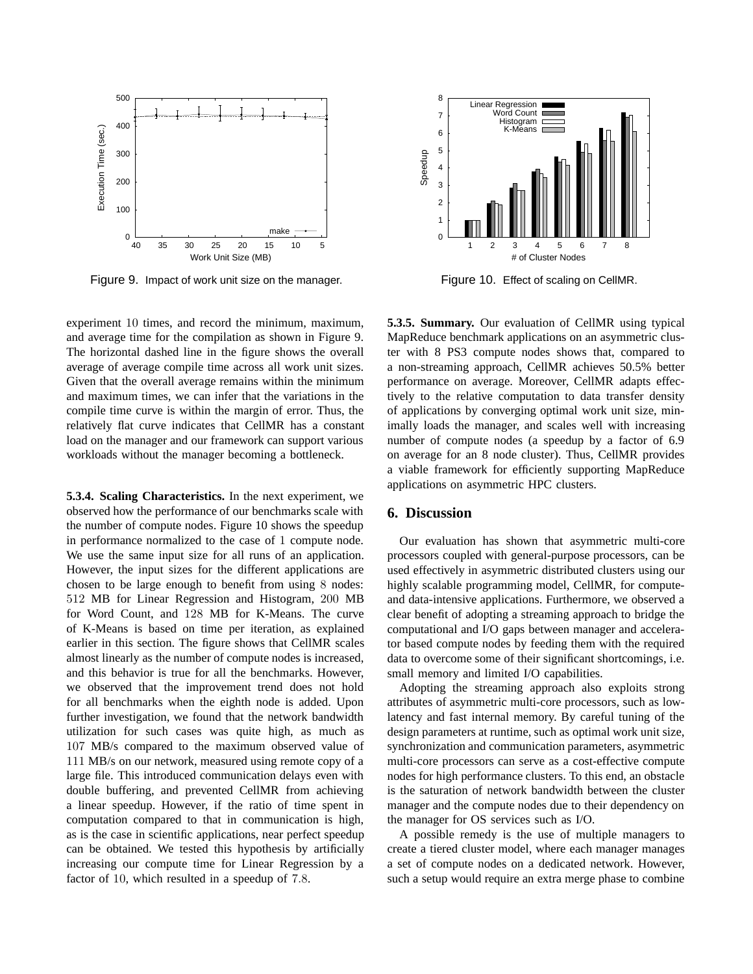

Figure 9. Impact of work unit size on the manager.

experiment 10 times, and record the minimum, maximum, and average time for the compilation as shown in Figure 9. The horizontal dashed line in the figure shows the overall average of average compile time across all work unit sizes. Given that the overall average remains within the minimum and maximum times, we can infer that the variations in the compile time curve is within the margin of error. Thus, the relatively flat curve indicates that CellMR has a constant load on the manager and our framework can support various workloads without the manager becoming a bottleneck.

**5.3.4. Scaling Characteristics.** In the next experiment, we observed how the performance of our benchmarks scale with the number of compute nodes. Figure 10 shows the speedup in performance normalized to the case of 1 compute node. We use the same input size for all runs of an application. However, the input sizes for the different applications are chosen to be large enough to benefit from using 8 nodes: 512 MB for Linear Regression and Histogram, 200 MB for Word Count, and 128 MB for K-Means. The curve of K-Means is based on time per iteration, as explained earlier in this section. The figure shows that CellMR scales almost linearly as the number of compute nodes is increased, and this behavior is true for all the benchmarks. However, we observed that the improvement trend does not hold for all benchmarks when the eighth node is added. Upon further investigation, we found that the network bandwidth utilization for such cases was quite high, as much as 107 MB/s compared to the maximum observed value of 111 MB/s on our network, measured using remote copy of a large file. This introduced communication delays even with double buffering, and prevented CellMR from achieving a linear speedup. However, if the ratio of time spent in computation compared to that in communication is high, as is the case in scientific applications, near perfect speedup can be obtained. We tested this hypothesis by artificially increasing our compute time for Linear Regression by a factor of 10, which resulted in a speedup of 7*.*8.



Figure 10. Effect of scaling on CellMR.

**5.3.5. Summary.** Our evaluation of CellMR using typical MapReduce benchmark applications on an asymmetric cluster with 8 PS3 compute nodes shows that, compared to a non-streaming approach, CellMR achieves 50.5% better performance on average. Moreover, CellMR adapts effectively to the relative computation to data transfer density of applications by converging optimal work unit size, minimally loads the manager, and scales well with increasing number of compute nodes (a speedup by a factor of 6.9 on average for an 8 node cluster). Thus, CellMR provides a viable framework for efficiently supporting MapReduce applications on asymmetric HPC clusters.

# **6. Discussion**

Our evaluation has shown that asymmetric multi-core processors coupled with general-purpose processors, can be used effectively in asymmetric distributed clusters using our highly scalable programming model, CellMR, for computeand data-intensive applications. Furthermore, we observed a clear benefit of adopting a streaming approach to bridge the computational and I/O gaps between manager and accelerator based compute nodes by feeding them with the required data to overcome some of their significant shortcomings, i.e. small memory and limited I/O capabilities.

Adopting the streaming approach also exploits strong attributes of asymmetric multi-core processors, such as lowlatency and fast internal memory. By careful tuning of the design parameters at runtime, such as optimal work unit size, synchronization and communication parameters, asymmetric multi-core processors can serve as a cost-effective compute nodes for high performance clusters. To this end, an obstacle is the saturation of network bandwidth between the cluster manager and the compute nodes due to their dependency on the manager for OS services such as I/O.

A possible remedy is the use of multiple managers to create a tiered cluster model, where each manager manages a set of compute nodes on a dedicated network. However, such a setup would require an extra merge phase to combine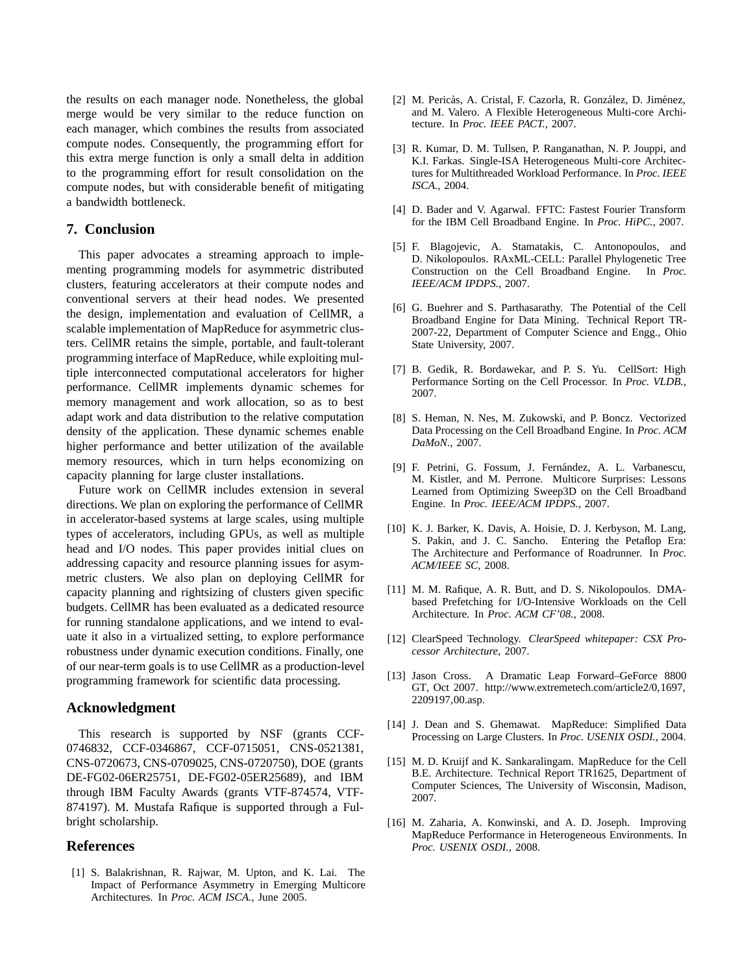the results on each manager node. Nonetheless, the global merge would be very similar to the reduce function on each manager, which combines the results from associated compute nodes. Consequently, the programming effort for this extra merge function is only a small delta in addition to the programming effort for result consolidation on the compute nodes, but with considerable benefit of mitigating a bandwidth bottleneck.

## **7. Conclusion**

This paper advocates a streaming approach to implementing programming models for asymmetric distributed clusters, featuring accelerators at their compute nodes and conventional servers at their head nodes. We presented the design, implementation and evaluation of CellMR, a scalable implementation of MapReduce for asymmetric clusters. CellMR retains the simple, portable, and fault-tolerant programming interface of MapReduce, while exploiting multiple interconnected computational accelerators for higher performance. CellMR implements dynamic schemes for memory management and work allocation, so as to best adapt work and data distribution to the relative computation density of the application. These dynamic schemes enable higher performance and better utilization of the available memory resources, which in turn helps economizing on capacity planning for large cluster installations.

Future work on CellMR includes extension in several directions. We plan on exploring the performance of CellMR in accelerator-based systems at large scales, using multiple types of accelerators, including GPUs, as well as multiple head and I/O nodes. This paper provides initial clues on addressing capacity and resource planning issues for asymmetric clusters. We also plan on deploying CellMR for capacity planning and rightsizing of clusters given specific budgets. CellMR has been evaluated as a dedicated resource for running standalone applications, and we intend to evaluate it also in a virtualized setting, to explore performance robustness under dynamic execution conditions. Finally, one of our near-term goals is to use CellMR as a production-level programming framework for scientific data processing.

#### **Acknowledgment**

This research is supported by NSF (grants CCF-0746832, CCF-0346867, CCF-0715051, CNS-0521381, CNS-0720673, CNS-0709025, CNS-0720750), DOE (grants DE-FG02-06ER25751, DE-FG02-05ER25689), and IBM through IBM Faculty Awards (grants VTF-874574, VTF-874197). M. Mustafa Rafique is supported through a Fulbright scholarship.

### **References**

[1] S. Balakrishnan, R. Rajwar, M. Upton, and K. Lai. The Impact of Performance Asymmetry in Emerging Multicore Architectures. In *Proc. ACM ISCA.*, June 2005.

- [2] M. Pericàs, A. Cristal, F. Cazorla, R. González, D. Jiménez, and M. Valero. A Flexible Heterogeneous Multi-core Architecture. In *Proc. IEEE PACT.*, 2007.
- [3] R. Kumar, D. M. Tullsen, P. Ranganathan, N. P. Jouppi, and K.I. Farkas. Single-ISA Heterogeneous Multi-core Architectures for Multithreaded Workload Performance. In *Proc. IEEE ISCA.*, 2004.
- [4] D. Bader and V. Agarwal. FFTC: Fastest Fourier Transform for the IBM Cell Broadband Engine. In *Proc. HiPC.*, 2007.
- [5] F. Blagojevic, A. Stamatakis, C. Antonopoulos, and D. Nikolopoulos. RAxML-CELL: Parallel Phylogenetic Tree Construction on the Cell Broadband Engine. In *Proc. IEEE/ACM IPDPS.*, 2007.
- [6] G. Buehrer and S. Parthasarathy. The Potential of the Cell Broadband Engine for Data Mining. Technical Report TR-2007-22, Department of Computer Science and Engg., Ohio State University, 2007.
- [7] B. Gedik, R. Bordawekar, and P. S. Yu. CellSort: High Performance Sorting on the Cell Processor. In *Proc. VLDB.*, 2007.
- [8] S. Heman, N. Nes, M. Zukowski, and P. Boncz. Vectorized Data Processing on the Cell Broadband Engine. In *Proc. ACM DaMoN.*, 2007.
- [9] F. Petrini, G. Fossum, J. Fernández, A. L. Varbanescu, M. Kistler, and M. Perrone. Multicore Surprises: Lessons Learned from Optimizing Sweep3D on the Cell Broadband Engine. In *Proc. IEEE/ACM IPDPS.*, 2007.
- [10] K. J. Barker, K. Davis, A. Hoisie, D. J. Kerbyson, M. Lang, S. Pakin, and J. C. Sancho. Entering the Petaflop Era: The Architecture and Performance of Roadrunner. In *Proc. ACM/IEEE SC*, 2008.
- [11] M. M. Rafique, A. R. Butt, and D. S. Nikolopoulos. DMAbased Prefetching for I/O-Intensive Workloads on the Cell Architecture. In *Proc. ACM CF'08.*, 2008.
- [12] ClearSpeed Technology. *ClearSpeed whitepaper: CSX Processor Architecture*, 2007.
- [13] Jason Cross. A Dramatic Leap Forward–GeForce 8800 GT, Oct 2007. http://www.extremetech.com/article2/0,1697, 2209197,00.asp.
- [14] J. Dean and S. Ghemawat. MapReduce: Simplified Data Processing on Large Clusters. In *Proc. USENIX OSDI.*, 2004.
- [15] M. D. Kruijf and K. Sankaralingam. MapReduce for the Cell B.E. Architecture. Technical Report TR1625, Department of Computer Sciences, The University of Wisconsin, Madison, 2007.
- [16] M. Zaharia, A. Konwinski, and A. D. Joseph. Improving MapReduce Performance in Heterogeneous Environments. In *Proc. USENIX OSDI.*, 2008.